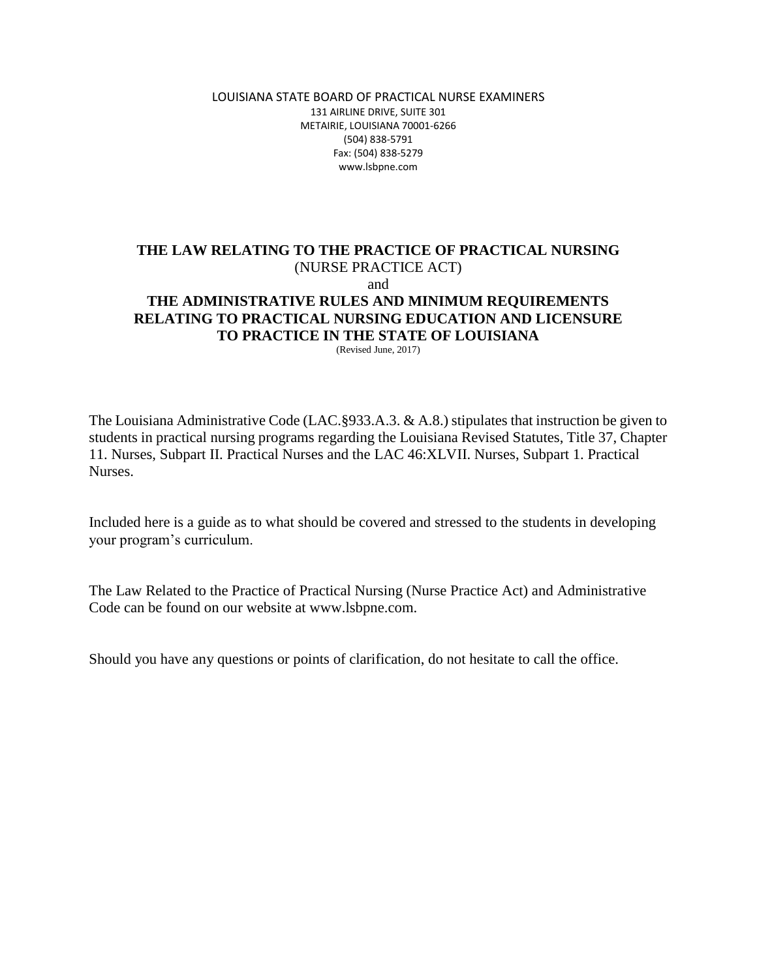LOUISIANA STATE BOARD OF PRACTICAL NURSE EXAMINERS 131 AIRLINE DRIVE, SUITE 301 METAIRIE, LOUISIANA 70001-6266 (504) 838-5791 Fax: (504) 838-5279 www.lsbpne.com

## **THE LAW RELATING TO THE PRACTICE OF PRACTICAL NURSING** (NURSE PRACTICE ACT) and **THE ADMINISTRATIVE RULES AND MINIMUM REQUIREMENTS RELATING TO PRACTICAL NURSING EDUCATION AND LICENSURE TO PRACTICE IN THE STATE OF LOUISIANA**

(Revised June, 2017)

The Louisiana Administrative Code (LAC.§933.A.3. & A.8.) stipulates that instruction be given to students in practical nursing programs regarding the Louisiana Revised Statutes, Title 37, Chapter 11. Nurses, Subpart II. Practical Nurses and the LAC 46:XLVII. Nurses, Subpart 1. Practical Nurses.

Included here is a guide as to what should be covered and stressed to the students in developing your program's curriculum.

The Law Related to the Practice of Practical Nursing (Nurse Practice Act) and Administrative Code can be found on our website at www.lsbpne.com.

Should you have any questions or points of clarification, do not hesitate to call the office.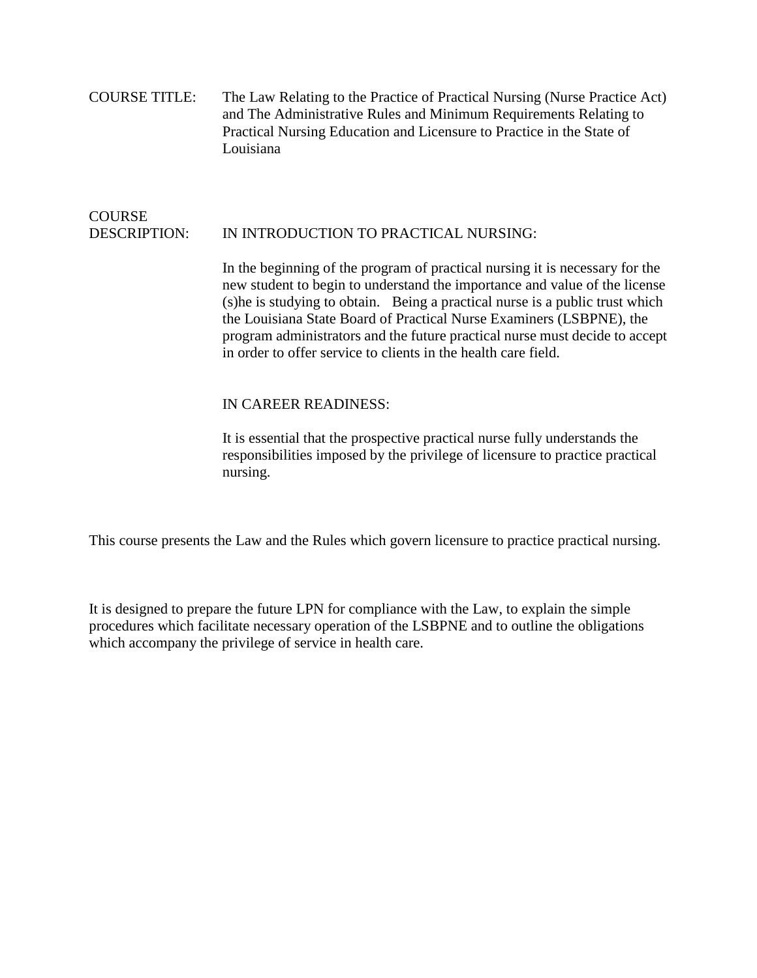COURSE TITLE: The Law Relating to the Practice of Practical Nursing (Nurse Practice Act) and The Administrative Rules and Minimum Requirements Relating to Practical Nursing Education and Licensure to Practice in the State of Louisiana

## **COURSE** DESCRIPTION: IN INTRODUCTION TO PRACTICAL NURSING:

In the beginning of the program of practical nursing it is necessary for the new student to begin to understand the importance and value of the license (s)he is studying to obtain. Being a practical nurse is a public trust which the Louisiana State Board of Practical Nurse Examiners (LSBPNE), the program administrators and the future practical nurse must decide to accept in order to offer service to clients in the health care field.

## IN CAREER READINESS:

It is essential that the prospective practical nurse fully understands the responsibilities imposed by the privilege of licensure to practice practical nursing.

This course presents the Law and the Rules which govern licensure to practice practical nursing.

It is designed to prepare the future LPN for compliance with the Law, to explain the simple procedures which facilitate necessary operation of the LSBPNE and to outline the obligations which accompany the privilege of service in health care.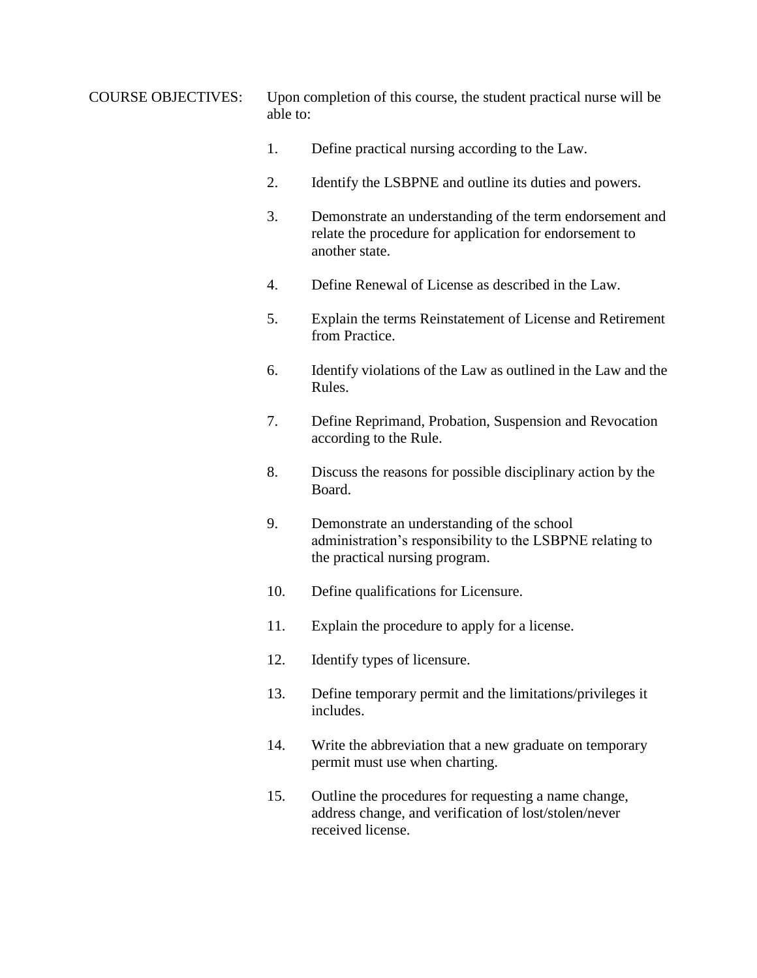COURSE OBJECTIVES: Upon completion of this course, the student practical nurse will be able to:

- 1. Define practical nursing according to the Law.
- 2. Identify the LSBPNE and outline its duties and powers.
- 3. Demonstrate an understanding of the term endorsement and relate the procedure for application for endorsement to another state.
- 4. Define Renewal of License as described in the Law.
- 5. Explain the terms Reinstatement of License and Retirement from Practice.
- 6. Identify violations of the Law as outlined in the Law and the Rules.
- 7. Define Reprimand, Probation, Suspension and Revocation according to the Rule.
- 8. Discuss the reasons for possible disciplinary action by the Board.
- 9. Demonstrate an understanding of the school administration's responsibility to the LSBPNE relating to the practical nursing program.
- 10. Define qualifications for Licensure.
- 11. Explain the procedure to apply for a license.
- 12. Identify types of licensure.
- 13. Define temporary permit and the limitations/privileges it includes.
- 14. Write the abbreviation that a new graduate on temporary permit must use when charting.
- 15. Outline the procedures for requesting a name change, address change, and verification of lost/stolen/never received license.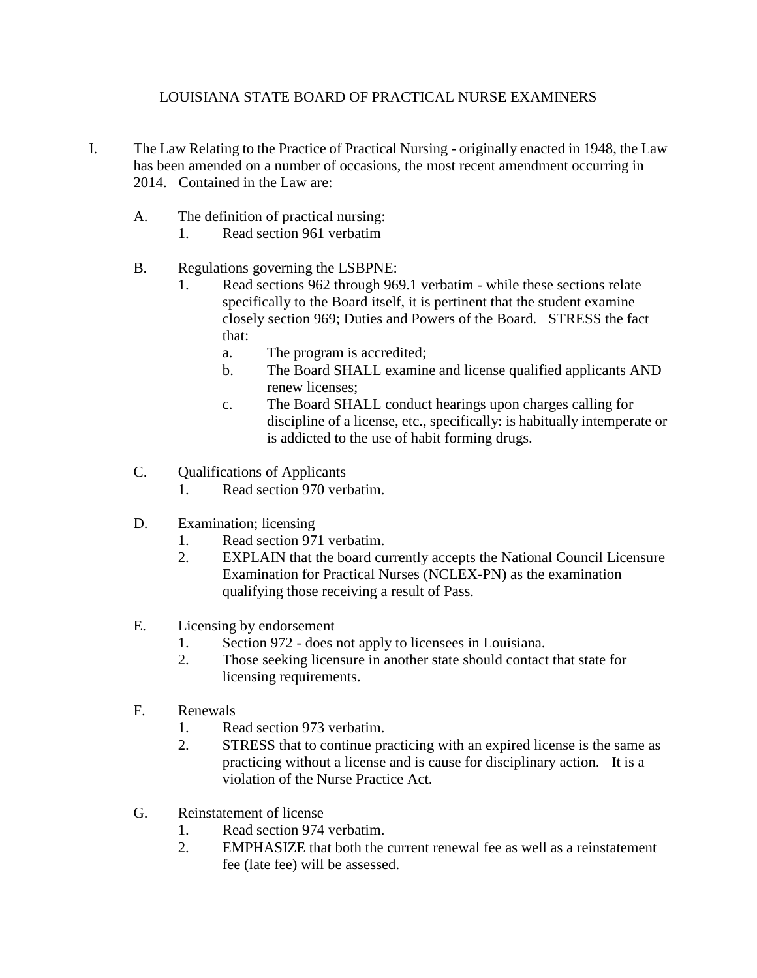## LOUISIANA STATE BOARD OF PRACTICAL NURSE EXAMINERS

- I. The Law Relating to the Practice of Practical Nursing originally enacted in 1948, the Law has been amended on a number of occasions, the most recent amendment occurring in 2014. Contained in the Law are:
	- A. The definition of practical nursing:
		- 1. Read section 961 verbatim
	- B. Regulations governing the LSBPNE:
		- 1. Read sections 962 through 969.1 verbatim while these sections relate specifically to the Board itself, it is pertinent that the student examine closely section 969; Duties and Powers of the Board. STRESS the fact that:
			- a. The program is accredited;
			- b. The Board SHALL examine and license qualified applicants AND renew licenses;
			- c. The Board SHALL conduct hearings upon charges calling for discipline of a license, etc., specifically: is habitually intemperate or is addicted to the use of habit forming drugs.
	- C. Qualifications of Applicants
		- 1. Read section 970 verbatim.
	- D. Examination; licensing
		- 1. Read section 971 verbatim.
		- 2. EXPLAIN that the board currently accepts the National Council Licensure Examination for Practical Nurses (NCLEX-PN) as the examination qualifying those receiving a result of Pass.
	- E. Licensing by endorsement
		- 1. Section 972 does not apply to licensees in Louisiana.
		- 2. Those seeking licensure in another state should contact that state for licensing requirements.
	- F. Renewals
		- 1. Read section 973 verbatim.
		- 2. STRESS that to continue practicing with an expired license is the same as practicing without a license and is cause for disciplinary action. It is a violation of the Nurse Practice Act.
	- G. Reinstatement of license
		- 1. Read section 974 verbatim.
		- 2. EMPHASIZE that both the current renewal fee as well as a reinstatement fee (late fee) will be assessed.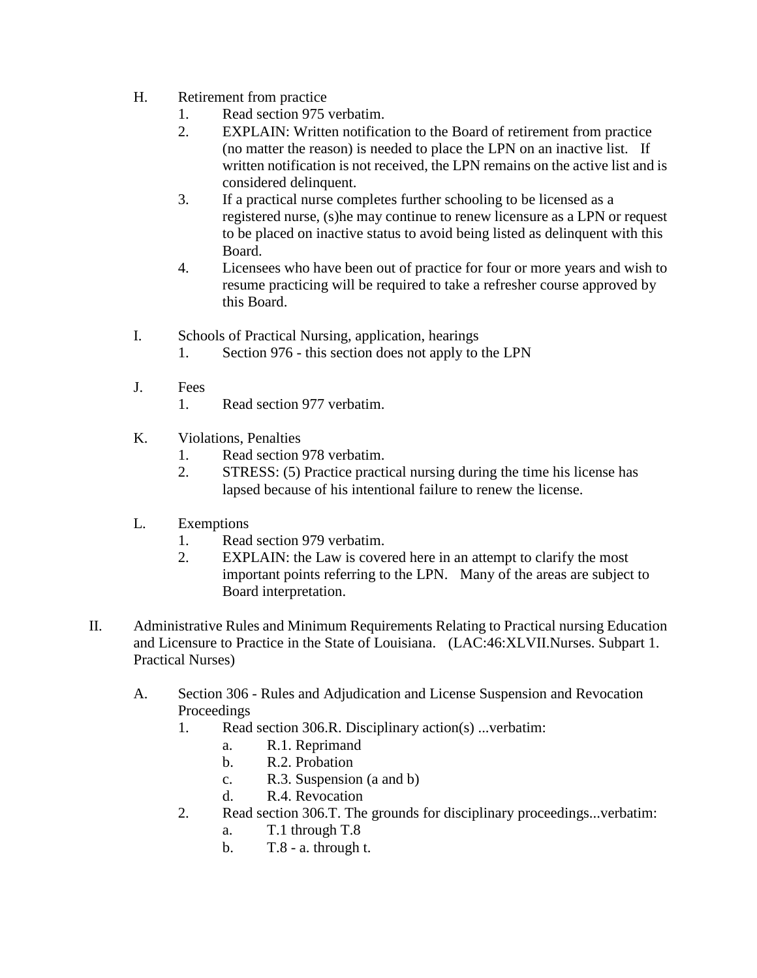- H. Retirement from practice
	- 1. Read section 975 verbatim.
	- 2. EXPLAIN: Written notification to the Board of retirement from practice (no matter the reason) is needed to place the LPN on an inactive list. If written notification is not received, the LPN remains on the active list and is considered delinquent.
	- 3. If a practical nurse completes further schooling to be licensed as a registered nurse, (s)he may continue to renew licensure as a LPN or request to be placed on inactive status to avoid being listed as delinquent with this Board.
	- 4. Licensees who have been out of practice for four or more years and wish to resume practicing will be required to take a refresher course approved by this Board.
- I. Schools of Practical Nursing, application, hearings
	- 1. Section 976 this section does not apply to the LPN
- J. Fees
	- 1. Read section 977 verbatim.
- K. Violations, Penalties
	- 1. Read section 978 verbatim.
	- 2. STRESS: (5) Practice practical nursing during the time his license has lapsed because of his intentional failure to renew the license.
- L. Exemptions
	- 1. Read section 979 verbatim.
	- 2. EXPLAIN: the Law is covered here in an attempt to clarify the most important points referring to the LPN. Many of the areas are subject to Board interpretation.
- II. Administrative Rules and Minimum Requirements Relating to Practical nursing Education and Licensure to Practice in the State of Louisiana. (LAC:46:XLVII.Nurses. Subpart 1. Practical Nurses)
	- A. Section 306 Rules and Adjudication and License Suspension and Revocation Proceedings
		- 1. Read section 306.R. Disciplinary action(s) ...verbatim:
			- a. R.1. Reprimand
			- b. R.2. Probation
			- c. R.3. Suspension (a and b)
			- d. R.4. Revocation
		- 2. Read section 306.T. The grounds for disciplinary proceedings...verbatim:
			- a. T.1 through T.8
			- b. T.8 a. through t.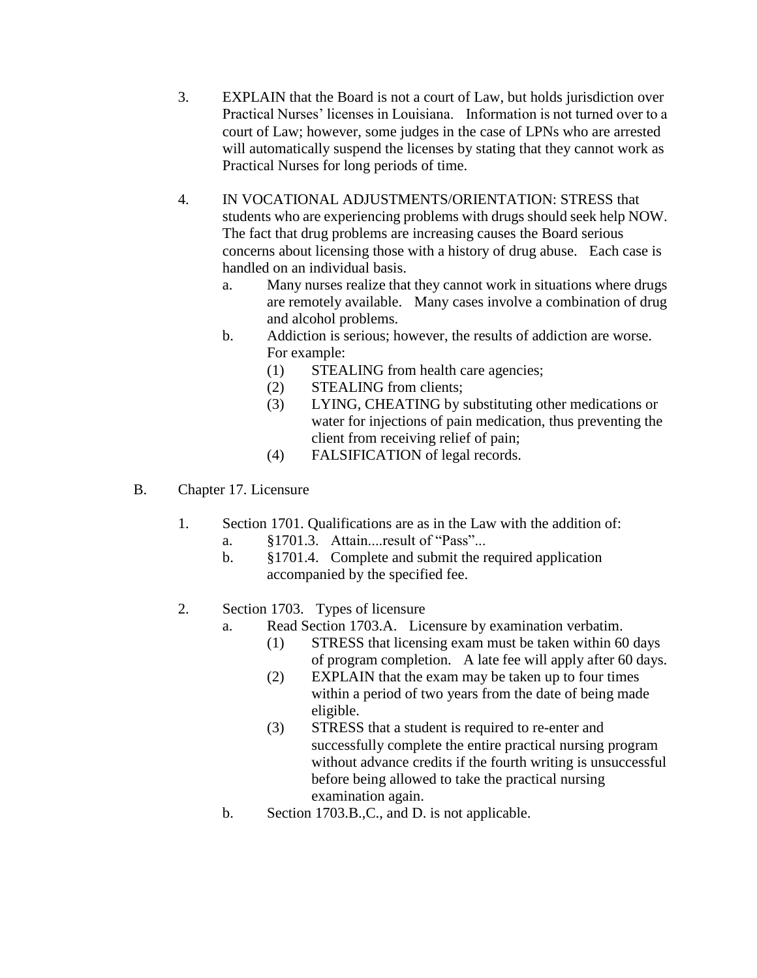- 3. EXPLAIN that the Board is not a court of Law, but holds jurisdiction over Practical Nurses' licenses in Louisiana. Information is not turned over to a court of Law; however, some judges in the case of LPNs who are arrested will automatically suspend the licenses by stating that they cannot work as Practical Nurses for long periods of time.
- 4. IN VOCATIONAL ADJUSTMENTS/ORIENTATION: STRESS that students who are experiencing problems with drugs should seek help NOW. The fact that drug problems are increasing causes the Board serious concerns about licensing those with a history of drug abuse. Each case is handled on an individual basis.
	- a. Many nurses realize that they cannot work in situations where drugs are remotely available. Many cases involve a combination of drug and alcohol problems.
	- b. Addiction is serious; however, the results of addiction are worse. For example:
		- (1) STEALING from health care agencies;
		- (2) STEALING from clients;
		- (3) LYING, CHEATING by substituting other medications or water for injections of pain medication, thus preventing the client from receiving relief of pain;
		- (4) FALSIFICATION of legal records.
- B. Chapter 17. Licensure
	- 1. Section 1701. Qualifications are as in the Law with the addition of:
		- a. §1701.3. Attain....result of "Pass"...
		- b. §1701.4. Complete and submit the required application accompanied by the specified fee.
	- 2. Section 1703. Types of licensure
		- a. Read Section 1703.A. Licensure by examination verbatim.
			- (1) STRESS that licensing exam must be taken within 60 days of program completion. A late fee will apply after 60 days.
			- (2) EXPLAIN that the exam may be taken up to four times within a period of two years from the date of being made eligible.
			- (3) STRESS that a student is required to re-enter and successfully complete the entire practical nursing program without advance credits if the fourth writing is unsuccessful before being allowed to take the practical nursing examination again.
		- b. Section 1703.B.,C., and D. is not applicable.